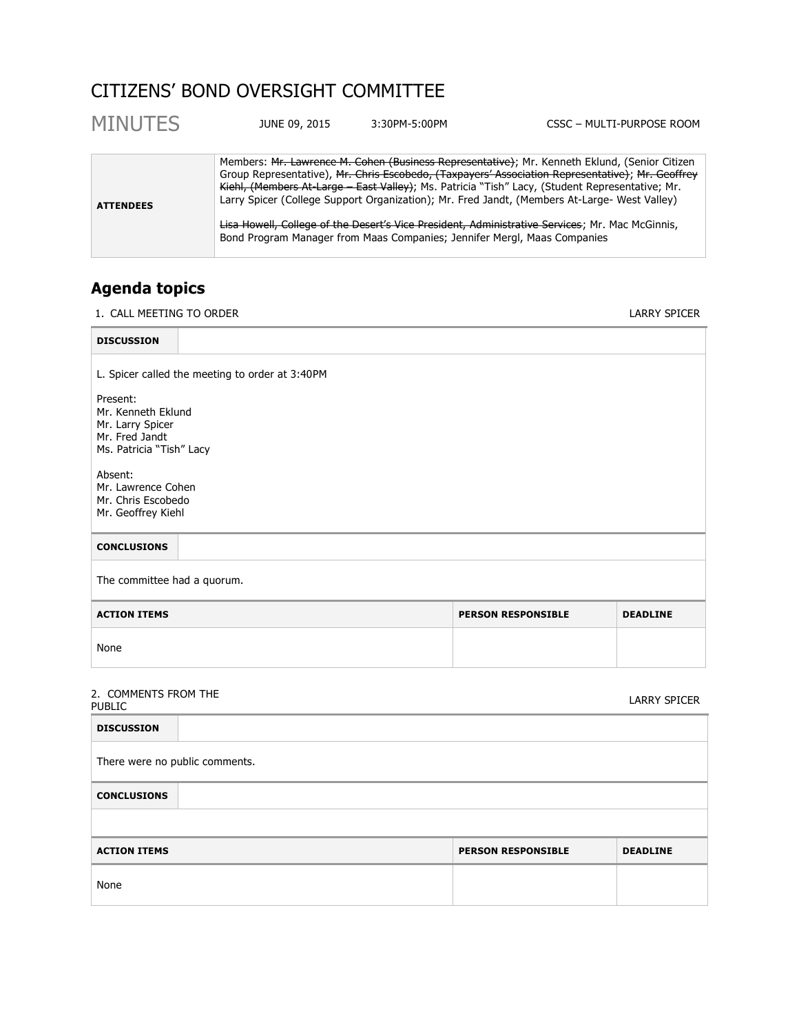# CITIZENS' BOND OVERSIGHT COMMITTEE

| <b>MINUTES</b>   | JUNE 09, 2015 | 3:30PM-5:00PM                                                            | CSSC - MULTI-PURPOSE ROOM                                                                                                                                                                                                                                                                                                                                                                                                                                                                             |
|------------------|---------------|--------------------------------------------------------------------------|-------------------------------------------------------------------------------------------------------------------------------------------------------------------------------------------------------------------------------------------------------------------------------------------------------------------------------------------------------------------------------------------------------------------------------------------------------------------------------------------------------|
| <b>ATTENDEES</b> |               | Bond Program Manager from Maas Companies; Jennifer Mergl, Maas Companies | Members: Mr. Lawrence M. Cohen (Business Representative); Mr. Kenneth Eklund, (Senior Citizen<br>Group Representative), Mr. Chris Escobedo, (Taxpayers' Association Representative); Mr. Geoffrey<br>Kiehl, (Members At Large East Valley); Ms. Patricia "Tish" Lacy, (Student Representative; Mr.<br>Larry Spicer (College Support Organization); Mr. Fred Jandt, (Members At-Large- West Valley)<br>Lisa Howell, College of the Desert's Vice President, Administrative Services; Mr. Mac McGinnis, |

## **Agenda topics**

1. CALL MEETING TO ORDER LARRY SPICER

| <b>DISCUSSION</b>                                                                                |                           |                 |  |
|--------------------------------------------------------------------------------------------------|---------------------------|-----------------|--|
| L. Spicer called the meeting to order at 3:40PM                                                  |                           |                 |  |
| Present:<br>Mr. Kenneth Eklund<br>Mr. Larry Spicer<br>Mr. Fred Jandt<br>Ms. Patricia "Tish" Lacy |                           |                 |  |
| Absent:<br>Mr. Lawrence Cohen<br>Mr. Chris Escobedo<br>Mr. Geoffrey Kiehl                        |                           |                 |  |
| <b>CONCLUSIONS</b>                                                                               |                           |                 |  |
| The committee had a quorum.                                                                      |                           |                 |  |
| <b>ACTION ITEMS</b>                                                                              | <b>PERSON RESPONSIBLE</b> | <b>DEADLINE</b> |  |
| None                                                                                             |                           |                 |  |
|                                                                                                  |                           |                 |  |

# 2. COMMENTS FROM THE PUBLIC LARRY SPICER

| <b>DISCUSSION</b>              |                           |                 |  |  |
|--------------------------------|---------------------------|-----------------|--|--|
| There were no public comments. |                           |                 |  |  |
| <b>CONCLUSIONS</b>             |                           |                 |  |  |
|                                |                           |                 |  |  |
| <b>ACTION ITEMS</b>            | <b>PERSON RESPONSIBLE</b> | <b>DEADLINE</b> |  |  |
| None                           |                           |                 |  |  |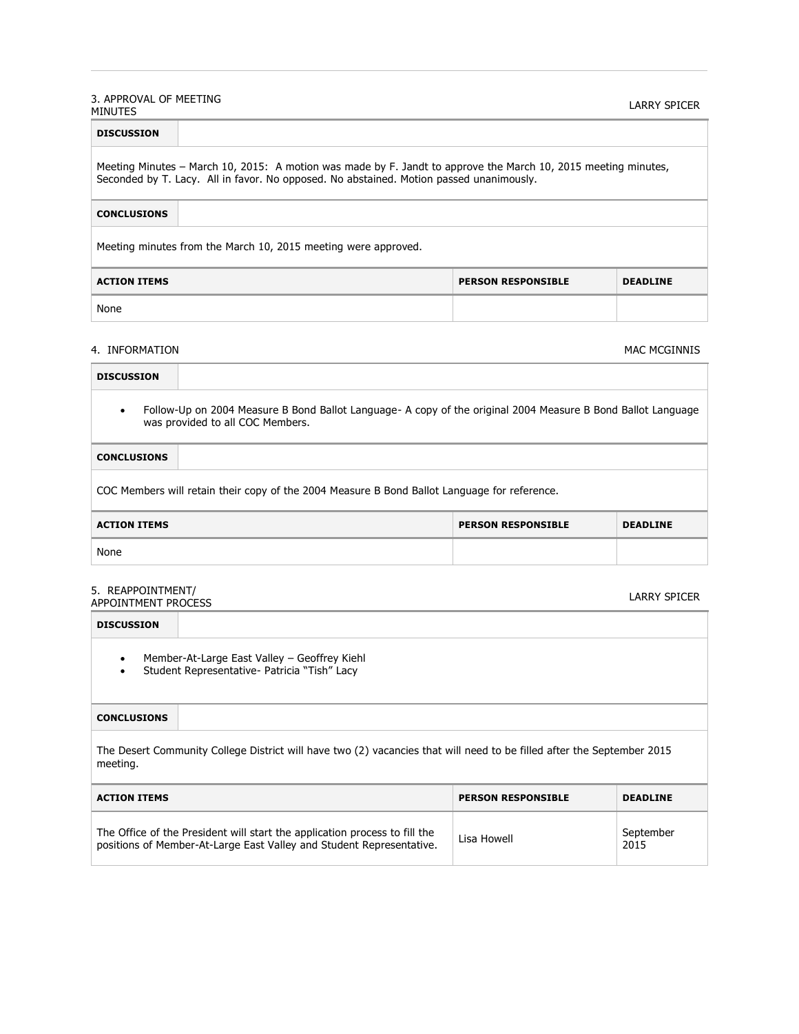#### 3. APPROVAL OF MEETING SEAT INOVAL OF PILL ITING<br>MINUTES

| <b>DISCUSSION</b>                                                                                                                                                                                         |  |  |  |  |
|-----------------------------------------------------------------------------------------------------------------------------------------------------------------------------------------------------------|--|--|--|--|
| Meeting Minutes – March 10, 2015: A motion was made by F. Jandt to approve the March 10, 2015 meeting minutes,<br>Seconded by T. Lacy. All in favor. No opposed. No abstained. Motion passed unanimously. |  |  |  |  |
| <b>CONCLUSIONS</b>                                                                                                                                                                                        |  |  |  |  |
| Meeting minutes from the March 10, 2015 meeting were approved.                                                                                                                                            |  |  |  |  |
| <b>ACTION ITEMS</b><br><b>PERSON RESPONSIBLE</b><br><b>DEADLINE</b>                                                                                                                                       |  |  |  |  |
| None                                                                                                                                                                                                      |  |  |  |  |

#### 4. INFORMATION MAC MORE SERVICES AND A SERVICES OF STATES AND MAC MCGINNIS

| <b>DISCUSSION</b>                                                                                                                                |  |  |  |  |
|--------------------------------------------------------------------------------------------------------------------------------------------------|--|--|--|--|
| Follow-Up on 2004 Measure B Bond Ballot Language- A copy of the original 2004 Measure B Bond Ballot Language<br>was provided to all COC Members. |  |  |  |  |
| <b>CONCLUSIONS</b>                                                                                                                               |  |  |  |  |
| COC Members will retain their copy of the 2004 Measure B Bond Ballot Language for reference.                                                     |  |  |  |  |
| <b>ACTION ITEMS</b><br><b>PERSON RESPONSIBLE</b><br><b>DEADLINE</b>                                                                              |  |  |  |  |
| None                                                                                                                                             |  |  |  |  |
| 5. REAPPOINTMENT/<br><b>LARRY SPICER</b><br><b>APPOINTMENT PROCESS</b>                                                                           |  |  |  |  |
| <b>DISCUSSION</b>                                                                                                                                |  |  |  |  |
| Member-At-Large East Valley - Geoffrey Kiehl<br>Student Representative- Patricia "Tish" Lacy                                                     |  |  |  |  |

#### **CONCLUSIONS**

The Desert Community College District will have two (2) vacancies that will need to be filled after the September 2015 meeting.

| <b>ACTION ITEMS</b>                                                                                                                                | <b>PERSON RESPONSIBLE</b> | <b>DEADLINE</b>   |
|----------------------------------------------------------------------------------------------------------------------------------------------------|---------------------------|-------------------|
| The Office of the President will start the application process to fill the<br>positions of Member-At-Large East Valley and Student Representative. | Lisa Howell               | September<br>2015 |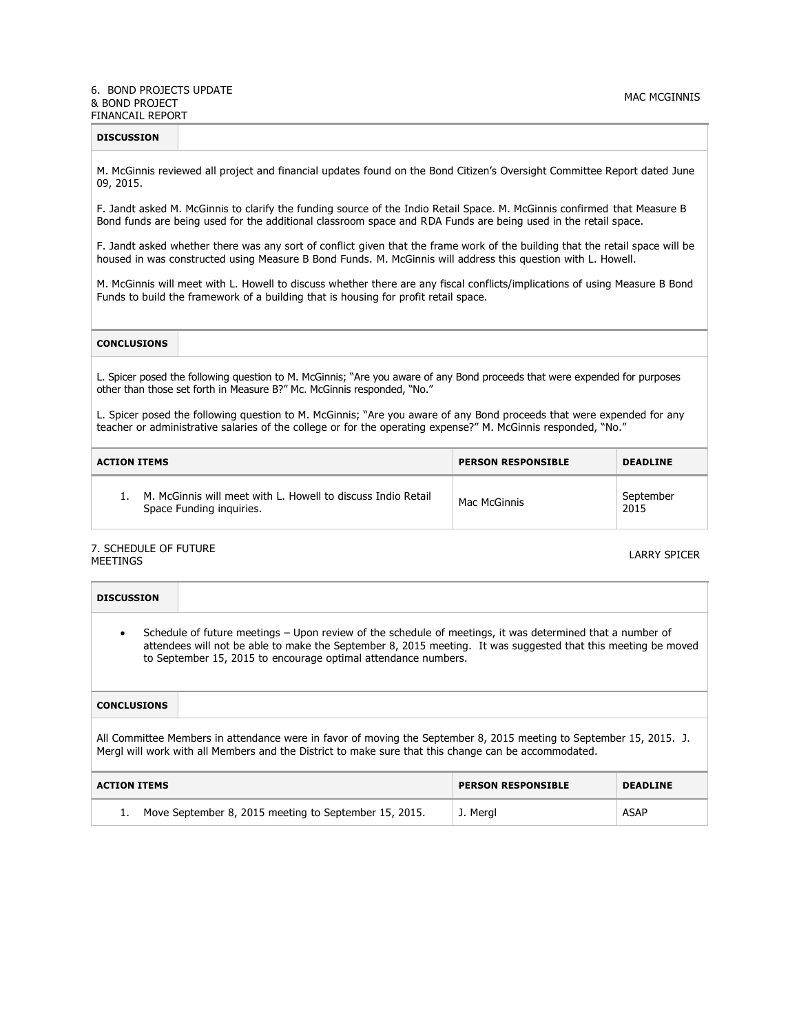#### 6. BOND PROJECTS UPDATE & BOND PROJECT FINANCAIL REPORT

| <b>DISCUSSION</b> |  |  |
|-------------------|--|--|
|                   |  |  |

M. McGinnis reviewed all project and financial updates found on the Bond Citizen's Oversight Committee Report dated June 09, 2015.

F. Jandt asked M. McGinnis to clarify the funding source of the Indio Retail Space. M. McGinnis confirmed that Measure B Bond funds are being used for the additional classroom space and RDA Funds are being used in the retail space.

F. Jandt asked whether there was any sort of conflict given that the frame work of the building that the retail space will be housed in was constructed using Measure B Bond Funds. M. McGinnis will address this question with L. Howell.

M. McGinnis will meet with L. Howell to discuss whether there are any fiscal conflicts/implications of using Measure B Bond Funds to build the framework of a building that is housing for profit retail space.

### **CONCLUSIONS**

L. Spicer posed the following question to M. McGinnis; "Are you aware of any Bond proceeds that were expended for purposes other than those set forth in Measure B?" Mc. McGinnis responded, "No."

L. Spicer posed the following question to M. McGinnis; "Are you aware of any Bond proceeds that were expended for any teacher or administrative salaries of the college or for the operating expense?" M. McGinnis responded, "No."

| ACTION ITEMS                                                                                | <b>PERSON RESPONSIBLE</b> | <b>DEADLINE</b>   |
|---------------------------------------------------------------------------------------------|---------------------------|-------------------|
| 1. M. McGinnis will meet with L. Howell to discuss Indio Retail<br>Space Funding inquiries. | Mac McGinnis              | September<br>2015 |

#### 7. SCHEDULE OF FUTURE sent boot of the form of the control of the control of the control of the control of the control of the control of the control of the control of the control of the control of the control of the control of the control of th

| <b>DISCUSSION</b>                                                                                                                                                                                                                                                                            |          |      |  |
|----------------------------------------------------------------------------------------------------------------------------------------------------------------------------------------------------------------------------------------------------------------------------------------------|----------|------|--|
| Schedule of future meetings – Upon review of the schedule of meetings, it was determined that a number of<br>attendees will not be able to make the September 8, 2015 meeting. It was suggested that this meeting be moved<br>to September 15, 2015 to encourage optimal attendance numbers. |          |      |  |
| <b>CONCLUSIONS</b>                                                                                                                                                                                                                                                                           |          |      |  |
| All Committee Members in attendance were in favor of moving the September 8, 2015 meeting to September 15, 2015. J.<br>Mergl will work with all Members and the District to make sure that this change can be accommodated.                                                                  |          |      |  |
| <b>ACTION ITEMS</b><br><b>PERSON RESPONSIBLE</b><br><b>DEADLINE</b>                                                                                                                                                                                                                          |          |      |  |
| Move September 8, 2015 meeting to September 15, 2015.<br>1.                                                                                                                                                                                                                                  | J. Mergl | ASAP |  |